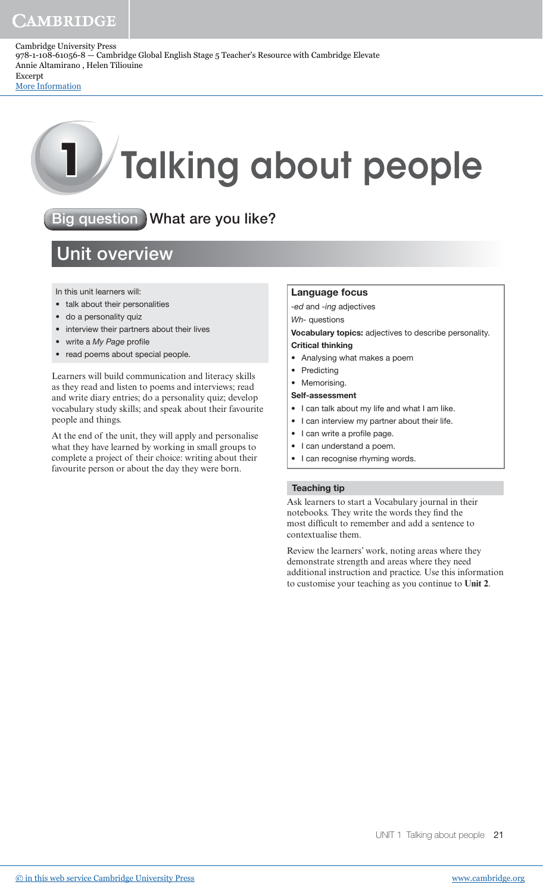CAMBRIDGE

Cambridge University Press 978-1-108-61056-8 — Cambridge Global English Stage 5 Teacher's Resource with Cambridge Elevate Annie Altamirano , Helen Tiliouine Excerpt

[More Information](www.cambridge.org/9781108610568)

# **1** Talking about people

## Big question What are you like?

## Unit overview

In this unit learners will:

- talk about their personalities
- do a personality quiz
- interview their partners about their lives
- $\bullet$  write a My Page profile
- read poems about special people.

Learners will build communication and literacy skills as they read and listen to poems and interviews; read and write diary entries; do a personality quiz; develop vocabulary study skills; and speak about their favourite people and things.

At the end of the unit, they will apply and personalise what they have learned by working in small groups to complete a project of their choice: writing about their favourite person or about the day they were born.

#### Language focus

-ed and -ing adjectives

Wh- questions

Vocabulary topics: adjectives to describe personality. Critical thinking

- Analysing what makes a poem
- Predicting
- Memorising.

#### Self-assessment

- I can talk about my life and what I am like.
- I can interview my partner about their life.
- I can write a profile page.
- I can understand a poem.
- I can recognise rhyming words.

### Teaching tip

Ask learners to start a Vocabulary journal in their notebooks. They write the words they find the most difficult to remember and add a sentence to contextualise them.

Review the learners' work, noting areas where they demonstrate strength and areas where they need additional instruction and practice. Use this information to customise your teaching as you continue to **Unit 2**.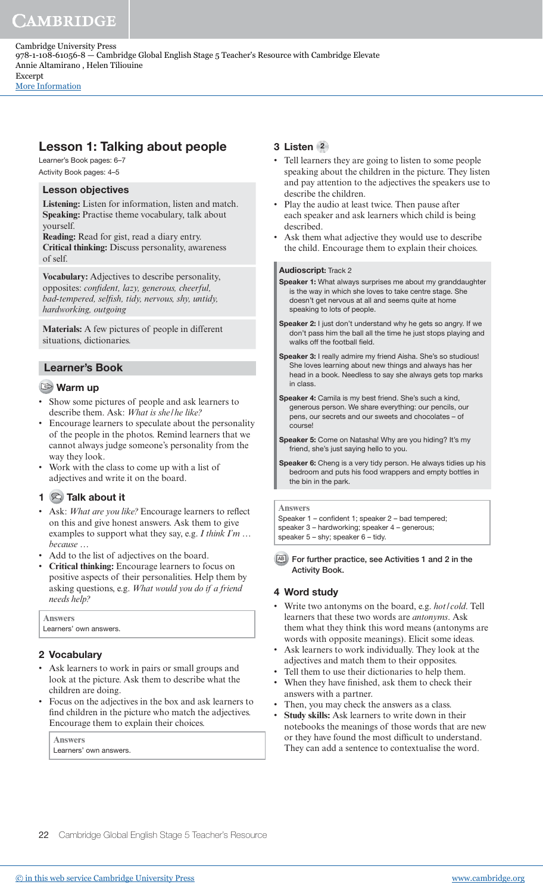[More Information](www.cambridge.org/9781108610568)

## Lesson 1: Talking about people

Learner's Book pages: 6–7

Activity Book pages: 4–5

### Lesson objectives

**Listening:** Listen for information, listen and match. **Speaking:** Practise theme vocabulary, talk about yourself.

**Reading:** Read for gist, read a diary entry. **Critical thinking:** Discuss personality, awareness of self.

**Vocabulary:** Adjectives to describe personality, opposites: *confi dent, lazy, generous, cheerful,*  bad-tempered, selfish, tidy, nervous, shy, untidy, *hardworking, outgoing*

**Materials:** A few pictures of people in different situations, dictionaries.

### Learner's Book

### Warm up

- Show some pictures of people and ask learners to describe them. Ask: *What is she / he like?*
- Encourage learners to speculate about the personality of the people in the photos. Remind learners that we cannot always judge someone's personality from the way they look.
- Work with the class to come up with a list of adjectives and write it on the board.

### 1  $\heartsuit$  Talk about it

- Ask: What are you like? Encourage learners to reflect on this and give honest answers. Ask them to give examples to support what they say, e.g. *I think I'm … because …*
- Add to the list of adjectives on the board.
- **Critical thinking:** Encourage learners to focus on positive aspects of their personalities. Help them by asking questions, e.g. *What would you do if a friend needs help?*

| Answers<br>Learners' own answers. |
|-----------------------------------|
|-----------------------------------|

### 2 Vocabulary

- Ask learners to work in pairs or small groups and look at the picture. Ask them to describe what the children are doing.
- Focus on the adjectives in the box and ask learners to find children in the picture who match the adjectives. Encourage them to explain their choices.

**Answers**  Learners' own answers.

### 3 Listen 2

- Tell learners they are going to listen to some people speaking about the children in the picture. They listen and pay attention to the adjectives the speakers use to describe the children.
- Play the audio at least twice. Then pause after each speaker and ask learners which child is being described.
- Ask them what adjective they would use to describe the child. Encourage them to explain their choices.

#### Audioscript: Track 2

Speaker 1: What always surprises me about my granddaughter is the way in which she loves to take centre stage. She doesn't get nervous at all and seems quite at home speaking to lots of people.

- Speaker 2: I just don't understand why he gets so angry. If we don't pass him the ball all the time he just stops playing and walks off the football field.
- Speaker 3: I really admire my friend Aisha. She's so studious! She loves learning about new things and always has her head in a book. Needless to say she always gets top marks in class.
- Speaker 4: Camila is my best friend. She's such a kind, generous person. We share everything: our pencils, our pens, our secrets and our sweets and chocolates – of course!
- Speaker 5: Come on Natasha! Why are you hiding? It's my friend, she's just saying hello to you.
- Speaker 6: Cheng is a very tidy person. He always tidies up his bedroom and puts his food wrappers and empty bottles in the bin in the park.

**Answers** 

Speaker 1 – confident 1; speaker 2 – bad tempered; speaker 3 – hardworking; speaker 4 – generous;

speaker 5 – shy; speaker 6 – tidy.

AB For further practice, see Activities 1 and 2 in the Activity Book.

### 4 Word study

- Write two antonyms on the board, e.g. *hot / cold*. Tell learners that these two words are *antonyms*. Ask them what they think this word means (antonyms are words with opposite meanings). Elicit some ideas.
- Ask learners to work individually. They look at the adjectives and match them to their opposites.
- Tell them to use their dictionaries to help them.
- When they have finished, ask them to check their answers with a partner.
- Then, you may check the answers as a class.
- Study skills: Ask learners to write down in their notebooks the meanings of those words that are new or they have found the most difficult to understand. They can add a sentence to contextualise the word.

22 Cambridge Global English Stage 5 Teacher's Resource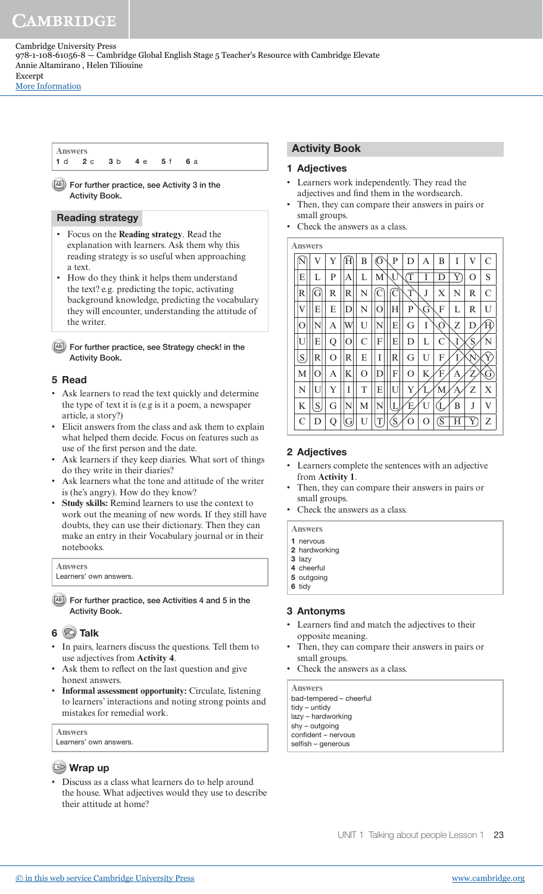## CAMBRIDGE

Cambridge University Press 978-1-108-61056-8 — Cambridge Global English Stage 5 Teacher's Resource with Cambridge Elevate Annie Altamirano , Helen Tiliouine Excerpt

[More Information](www.cambridge.org/9781108610568)

| <b>Answers</b> |  |  |                   |  |  |  |  |  |  |
|----------------|--|--|-------------------|--|--|--|--|--|--|
|                |  |  | 1d 2c 3b 4e 5f 6a |  |  |  |  |  |  |

AB For further practice, see Activity 3 in the Activity Book.

### Reading strategy

- Focus on the **Reading strategy**. Read the explanation with learners. Ask them why this reading strategy is so useful when approaching a text.
- How do they think it helps them understand the text? e.g. predicting the topic, activating background knowledge, predicting the vocabulary they will encounter, understanding the attitude of the writer.

AB For further practice, see Strategy check! in the Activity Book.

### 5 Read

- Ask learners to read the text quickly and determine the type of text it is (e.g is it a poem, a newspaper article, a story?)
- Elicit answers from the class and ask them to explain what helped them decide. Focus on features such as use of the first person and the date.
- Ask learners if they keep diaries. What sort of things do they write in their diaries?
- Ask learners what the tone and attitude of the writer is (he's angry). How do they know?
- **Study skills:** Remind learners to use the context to work out the meaning of new words. If they still have doubts, they can use their dictionary. Then they can make an entry in their Vocabulary journal or in their notebooks.

| Answers<br>Learners' own answers. |
|-----------------------------------|
|                                   |

AB For further practice, see Activities 4 and 5 in the Activity Book.

### $6$   $\heartsuit$  Talk

- In pairs, learners discuss the questions. Tell them to use adjectives from **Activity 4**.
- Ask them to reflect on the last question and give honest answers.
- **Informal assessment opportunity:** Circulate, listening to learners' interactions and noting strong points and mistakes for remedial work.

#### **Answers**  Learners' own answers.

### Wrap up

• Discuss as a class what learners do to help around the house. What adjectives would they use to describe their attitude at home?

### Activity Book

#### 1 Adjectives

- Learners work independently. They read the adjectives and find them in the wordsearch.
- Then, they can compare their answers in pairs or small groups.
- Check the answers as a class.

| <b>Answers</b> |    |   |   |    |           |              |                        |   |         |               |   |               |
|----------------|----|---|---|----|-----------|--------------|------------------------|---|---------|---------------|---|---------------|
| N              | V  | Y | Ή | B  | 'n        | P            | D                      | Α | B       | Ī             | V | $\mathcal{C}$ |
| E              | L  | P | Α | L  | M         | <sup>T</sup> | $\widehat{\mathrm{T}}$ | I | D       | $\bar{\rm Y}$ | O | S             |
| R              | G  | R | R | N  | $\subset$ | €            | $\overline{1}$         | J | $\rm X$ | N             | R | C             |
| V              | E  | E | D | N  | O         | Н            | P                      | G | F       | L             | R | U             |
| ∩              | N  | Α | Ŵ | U  | N         | E            | G                      | I | ∩       | Z             | D | Ή             |
| Ū              | E  | Q | O | C  | F         | E            | D                      | L | C       |               | S | N             |
| S              | R  | O | R | E  | I         | R            | G                      | U | F       |               |   |               |
| М              | O  | А | K | O  | D         | F            | ∩                      | K | F       | А             | 7 | $\mathbf G$   |
| N              | IJ | Y | I | T  | E         | U            | Y                      |   | М       | А             | Z | X             |
| K              | S  | G | N | М  | N         | Ī            | E                      | U |         | B             | J | V             |
| $\mathsf{C}$   | D  | Q | G | ĪΤ | T         | S,           | ∩                      | O | S       | Η             | Y | Z             |

#### 2 Adjectives

- Learners complete the sentences with an adjective from **Activity 1**.
- Then, they can compare their answers in pairs or small groups.
- Check the answers as a class.

**Answers** 

- 1 nervous
- 2 hardworking
- 3 lazy
- 4 cheerful 5 outgoing
- 6 tidy

#### 3 Antonyms

- Learners find and match the adjectives to their opposite meaning.
- Then, they can compare their answers in pairs or small groups.
- Check the answers as a class.

**Answers**  bad-tempered – cheerful tidy – untidy lazy – hardworking shy – outgoing confident – nervous selfish – generous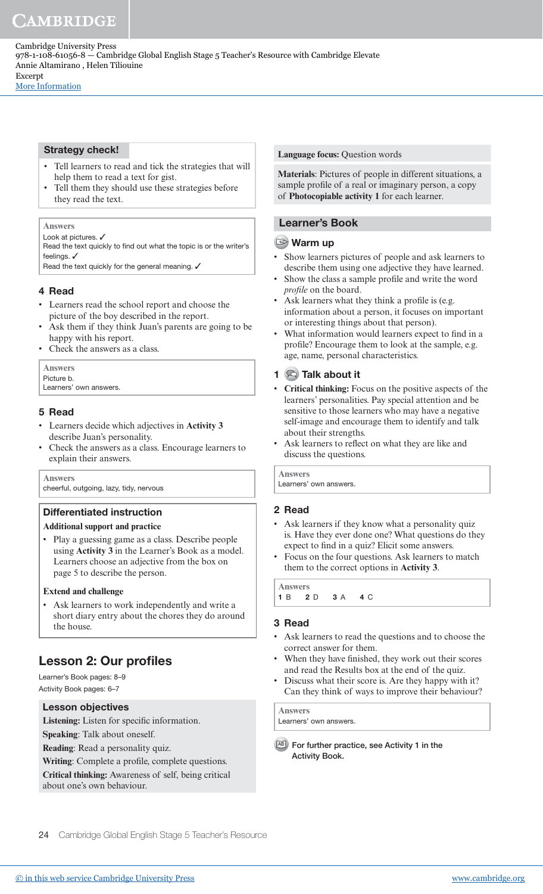### Strategy check!

- Tell learners to read and tick the strategies that will help them to read a text for gist.
- Tell them they should use these strategies before they read the text.

#### **Answers**

Look at pictures. √ Read the text quickly to find out what the topic is or the writer's feelings. √

Read the text quickly for the general meaning. √

### 4 Read

- Learners read the school report and choose the picture of the boy described in the report.
- Ask them if they think Juan's parents are going to be happy with his report.
- Check the answers as a class.

**Answers**  Picture b. Learners' own answers.

### 5 Read

- Learners decide which adjectives in **Activity 3** describe Juan's personality.
- Check the answers as a class. Encourage learners to explain their answers.

**Answers** 

cheerful, outgoing, lazy, tidy, nervous

### Differentiated instruction

#### **Additional support and practice**

• Play a guessing game as a class. Describe people using **Activity 3** in the Learner's Book as a model. Learners choose an adjective from the box on page 5 to describe the person.

#### **Extend and challenge**

Ask learners to work independently and write a short diary entry about the chores they do around the house.

## Lesson 2: Our profiles

Learner's Book pages: 8–9 Activity Book pages: 6–7

#### Lesson objectives

**Listening:** Listen for specific information.

**Speaking**: Talk about oneself.

**Reading**: Read a personality quiz.

**Writing**: Complete a profile, complete questions. **Critical thinking:** Awareness of self, being critical about one's own behaviour.

**Language focus:** Question words

**Materials**: Pictures of people in different situations, a sample profile of a real or imaginary person, a copy of **Photocopiable activity 1** for each learner.

### Learner's Book

### Warm up

- Show learners pictures of people and ask learners to describe them using one adjective they have learned.
- Show the class a sample profile and write the word *profile* on the board.
- Ask learners what they think a profile is (e.g. information about a person, it focuses on important or interesting things about that person).
- What information would learners expect to find in a profile? Encourage them to look at the sample, e.g. age, name, personal characteristics.

### 1  $\heartsuit$  Talk about it

- **Critical thinking:** Focus on the positive aspects of the learners' personalities. Pay special attention and be sensitive to those learners who may have a negative self-image and encourage them to identify and talk about their strengths.
- Ask learners to reflect on what they are like and discuss the questions.

**Answers**  Learners' own answers.

### 2 Read

- Ask learners if they know what a personality quiz is. Have they ever done one? What questions do they expect to find in a quiz? Elicit some answers.
- Focus on the four questions. Ask learners to match them to the correct options in **Activity 3**.

**Answers**  1 B 2 D 3 A 4 C

### 3 Read

- Ask learners to read the questions and to choose the correct answer for them.
- When they have finished, they work out their scores and read the Results box at the end of the quiz.
- Discuss what their score is. Are they happy with it? Can they think of ways to improve their behaviour?

**Answers** 

Learners' own answers.

AB For further practice, see Activity 1 in the Activity Book.

24 Cambridge Global English Stage 5 Teacher's Resource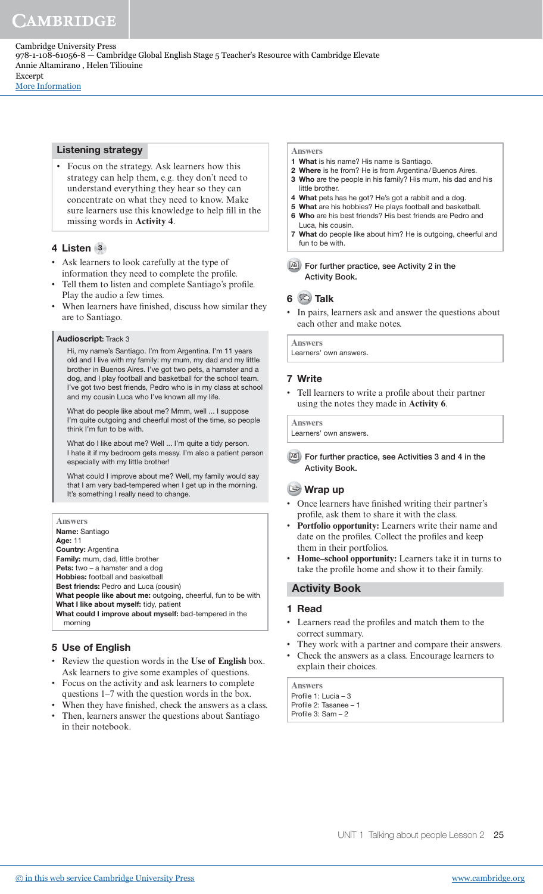[More Information](www.cambridge.org/9781108610568)

### Listening strategy

• Focus on the strategy. Ask learners how this strategy can help them, e.g. they don't need to understand everything they hear so they can concentrate on what they need to know. Make sure learners use this knowledge to help fill in the missing words in **Activity 4**.

### 4 Listen (3)

- Ask learners to look carefully at the type of information they need to complete the profile.
- Tell them to listen and complete Santiago's profile. Play the audio a few times.
- When learners have finished, discuss how similar they are to Santiago.

#### Audioscript: Track 3

 Hi, my name's Santiago. I'm from Argentina. I'm 11 years old and I live with my family: my mum, my dad and my little brother in Buenos Aires. I've got two pets, a hamster and a dog, and I play football and basketball for the school team. I've got two best friends, Pedro who is in my class at school and my cousin Luca who I've known all my life.

 What do people like about me? Mmm, well ... I suppose I'm quite outgoing and cheerful most of the time, so people think I'm fun to be with.

 What do I like about me? Well ... I'm quite a tidy person. I hate it if my bedroom gets messy. I'm also a patient person especially with my little brother!

 What could I improve about me? Well, my family would say that I am very bad-tempered when I get up in the morning. It's something I really need to change.

#### **Answers**  Name: Santiago Age: 11 Country: Argentina Family: mum, dad, little brother Pets: two – a hamster and a dog Hobbies: football and basketball Best friends: Pedro and Luca (cousin) What people like about me: outgoing, cheerful, fun to be with What I like about myself: tidy, patient What could I improve about myself: bad-tempered in the morning

### 5 Use of English

- Review the question words in the **Use of English** box. Ask learners to give some examples of questions.
- Focus on the activity and ask learners to complete questions 1–7 with the question words in the box.
- When they have finished, check the answers as a class. Then, learners answer the questions about Santiago
- in their notebook.

#### **Answers**

- 1 What is his name? His name is Santiago.
- 2 Where is he from? He is from Argentina/Buenos Aires.
- 3 Who are the people in his family? His mum, his dad and his little brother.
- 4 What pets has he got? He's got a rabbit and a dog.
- 5 What are his hobbies? He plays football and basketball. 6 Who are his best friends? His best friends are Pedro and
- Luca, his cousin.
- 7 What do people like about him? He is outgoing, cheerful and fun to be with.

AB For further practice, see Activity 2 in the Activity Book.

### 6 <sup>2</sup> Talk

In pairs, learners ask and answer the questions about each other and make notes.

**Answers**  Learners' own answers.

### 7 Write

Tell learners to write a profile about their partner using the notes they made in **Activity 6**.

**Answers** 

Learners' own answers.

AB For further practice, see Activities 3 and 4 in the Activity Book.

### Wrap up

- Once learners have finished writing their partner's profile, ask them to share it with the class.
- Portfolio opportunity: Learners write their name and date on the profiles. Collect the profiles and keep them in their portfolios.
- **Home–school opportunity:** Learners take it in turns to take the profile home and show it to their family.

### Activity Book

### 1 Read

- Learners read the profiles and match them to the correct summary.
- They work with a partner and compare their answers.
- Check the answers as a class. Encourage learners to explain their choices.

**Answers**  Profile  $1:$  Lucia – 3 Profile 2: Tasanee - 1 Profile 3: Sam  $-2$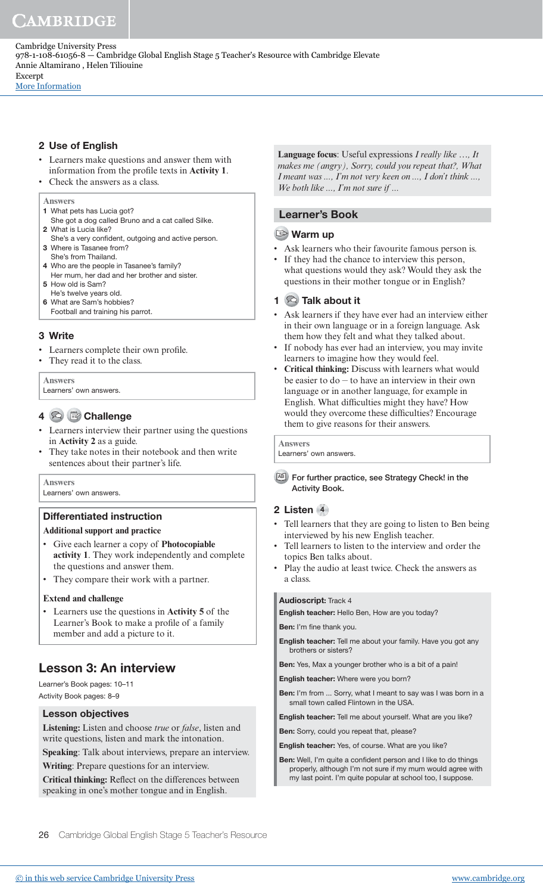[More Information](www.cambridge.org/9781108610568)

### 2 Use of English

- Learners make questions and answer them with information from the profile texts in **Activity 1**.
- Check the answers as a class.

#### **Answers**

- 1 What pets has Lucia got?
- She got a dog called Bruno and a cat called Silke. 2 What is Lucia like?
- She's a very confident, outgoing and active person. 3 Where is Tasanee from?
- She's from Thailand.
- 4 Who are the people in Tasanee's family? Her mum, her dad and her brother and sister. 5 How old is Sam?
- He's twelve years old.
- 6 What are Sam's hobbies?
- Football and training his parrot.

#### 3 Write

- Learners complete their own profile.
- They read it to the class.

**Answers**  Learners' own answers.

### 4 Challenge

- Learners interview their partner using the questions in **Activity 2** as a guide.
- They take notes in their notebook and then write sentences about their partner's life.

**Answers** 

## Learners' own answers.

### Differentiated instruction

#### **Additional support and practice**

- Give each learner a copy of **Photocopiable activity 1**. They work independently and complete the questions and answer them.
- They compare their work with a partner.

### **Extend and challenge**

• Learners use the questions in **Activity 5** of the Learner's Book to make a profile of a family member and add a picture to it.

## Lesson 3: An interview

Learner's Book pages: 10–11 Activity Book pages: 8–9

### Lesson objectives

**Listening:** Listen and choose *true* or *false*, listen and write questions, listen and mark the intonation.

**Speaking**: Talk about interviews, prepare an interview. **Writing**: Prepare questions for an interview.

**Critical thinking:** Reflect on the differences between speaking in one's mother tongue and in English.

**Language focus**: Useful expressions *I really like …, It makes me (angry), Sorry, could you repeat that?, What I meant was ..., I'm not very keen on ..., I don't think ..., We both like ..., I'm not sure if ...*

### Learner's Book

### Warm up

- Ask learners who their favourite famous person is.
- If they had the chance to interview this person, what questions would they ask? Would they ask the questions in their mother tongue or in English?

### 1  $\heartsuit$  Talk about it

- Ask learners if they have ever had an interview either in their own language or in a foreign language. Ask them how they felt and what they talked about.
- If nobody has ever had an interview, you may invite learners to imagine how they would feel.
- **Critical thinking:** Discuss with learners what would be easier to do – to have an interview in their own language or in another language, for example in English. What difficulties might they have? How would they overcome these difficulties? Encourage them to give reasons for their answers.

### **Answers**

Learners' own answers.

AB For further practice, see Strategy Check! in the Activity Book.

### 2 Listen 4

- Tell learners that they are going to listen to Ben being interviewed by his new English teacher.
- Tell learners to listen to the interview and order the topics Ben talks about.
- Play the audio at least twice. Check the answers as a class.

### Audioscript: Track 4

English teacher: Hello Ben, How are you today?

#### Ben: I'm fine thank you.

English teacher: Tell me about your family. Have you got any brothers or sisters?

Ben: Yes, Max a younger brother who is a bit of a pain!

English teacher: Where were you born?

Ben: I'm from ... Sorry, what I meant to say was I was born in a small town called Flintown in the USA.

English teacher: Tell me about yourself. What are you like?

Ben: Sorry, could you repeat that, please?

English teacher: Yes, of course. What are you like?

Ben: Well, I'm quite a confident person and I like to do things properly, although I'm not sure if my mum would agree with my last point. I'm quite popular at school too, I suppose.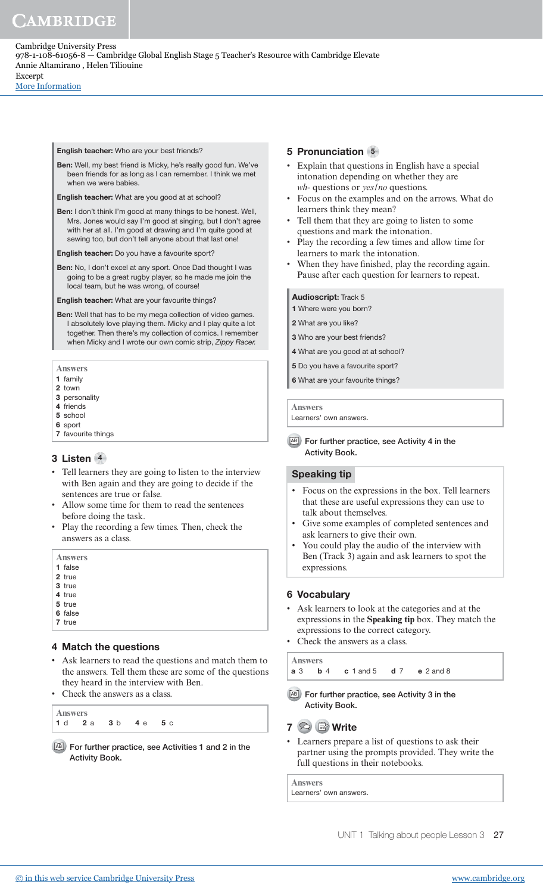[More Information](www.cambridge.org/9781108610568)

#### English teacher: Who are your best friends?

Ben: Well, my best friend is Micky, he's really good fun. We've been friends for as long as I can remember. I think we met when we were babies.

#### English teacher: What are you good at at school?

Ben: I don't think I'm good at many things to be honest. Well, Mrs. Jones would say I'm good at singing, but I don't agree with her at all. I'm good at drawing and I'm quite good at sewing too, but don't tell anyone about that last one!

#### English teacher: Do you have a favourite sport?

Ben: No, I don't excel at any sport. Once Dad thought I was going to be a great rugby player, so he made me join the local team, but he was wrong, of course!

English teacher: What are your favourite things?

Ben: Well that has to be my mega collection of video games. I absolutely love playing them. Micky and I play quite a lot together. Then there's my collection of comics. I remember when Micky and I wrote our own comic strip, Zippy Racer.

#### **Answers**

- 1 family
- 2 town
- 3 personality
- 4 friends
- 5 school
- 6 sport 7 favourite things

### 3 Listen 4

- Tell learners they are going to listen to the interview with Ben again and they are going to decide if the sentences are true or false.
- Allow some time for them to read the sentences before doing the task.
- Play the recording a few times. Then, check the answers as a class.

| <b>Answers</b> |  |
|----------------|--|
| 1 false        |  |
| 2 true         |  |
| 3 true         |  |
| 4 true         |  |
| 5 true         |  |
| 6 false        |  |
| 7 true         |  |
|                |  |

### 4 Match the questions

- Ask learners to read the questions and match them to the answers. Tell them these are some of the questions they heard in the interview with Ben.
- Check the answers as a class.

| Answers |          |    |     |  |
|---------|----------|----|-----|--|
|         | 1d 2a 3b | 4е | 5 с |  |

AB For further practice, see Activities 1 and 2 in the Activity Book.

### 5 Pronunciation 5

- Explain that questions in English have a special intonation depending on whether they are *wh*- questions or *yes / no* questions.
- Focus on the examples and on the arrows. What do learners think they mean?
- Tell them that they are going to listen to some questions and mark the intonation.
- Play the recording a few times and allow time for learners to mark the intonation.
- When they have finished, play the recording again. Pause after each question for learners to repeat.

#### Audioscript: Track 5

1 Where were you born?

- 2 What are you like?
- 3 Who are your best friends?
- 4 What are you good at at school?
- **5** Do you have a favourite sport?
- 6 What are your favourite things?

#### **Answers**

Learners' own answers.

AB For further practice, see Activity 4 in the Activity Book.

### Speaking tip

- Focus on the expressions in the box. Tell learners that these are useful expressions they can use to talk about themselves.
- Give some examples of completed sentences and ask learners to give their own.
- You could play the audio of the interview with Ben (Track 3) again and ask learners to spot the expressions.

### 6 Vocabulary

- Ask learners to look at the categories and at the expressions in the **Speaking tip** box. They match the expressions to the correct category.
- Check the answers as a class.

| <b>Answers</b> |  |                                       |  |  |  |  |  |
|----------------|--|---------------------------------------|--|--|--|--|--|
|                |  | $ a\;3\>$ b.4 c.1 and 5 d.7 e.2 and 8 |  |  |  |  |  |

AB For further practice, see Activity 3 in the Activity Book.

### 7 **Q E** Write

• Learners prepare a list of questions to ask their partner using the prompts provided. They write the full questions in their notebooks.

**Answers**  Learners' own answers.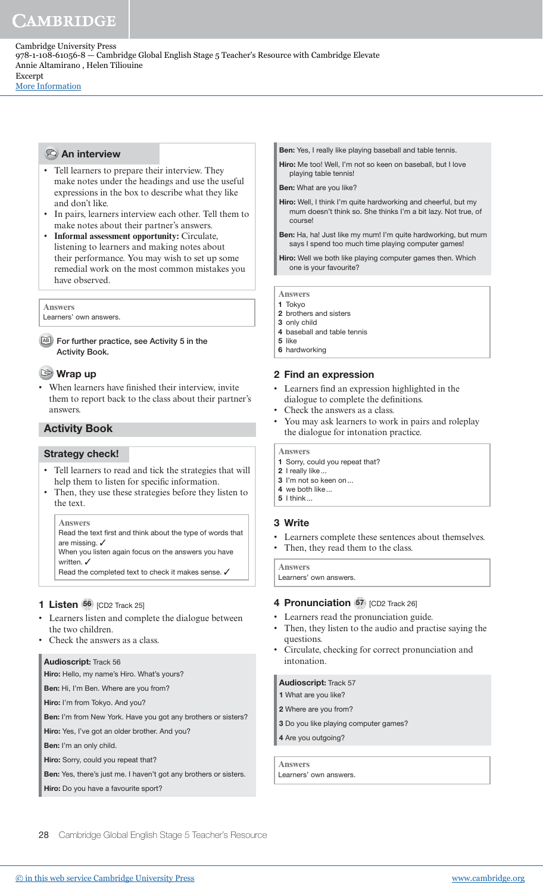## CAMBRIDGE

Cambridge University Press 978-1-108-61056-8 — Cambridge Global English Stage 5 Teacher's Resource with Cambridge Elevate Annie Altamirano , Helen Tiliouine Excerpt [More Information](www.cambridge.org/9781108610568)

### $\heartsuit$  An interview

- Tell learners to prepare their interview. They make notes under the headings and use the useful expressions in the box to describe what they like and don't like.
- In pairs, learners interview each other. Tell them to make notes about their partner's answers.
- **Informal assessment opportunity:** Circulate, listening to learners and making notes about their performance. You may wish to set up some remedial work on the most common mistakes you have observed.

#### **Answers**

Learners' own answers.

AB For further practice, see Activity 5 in the Activity Book.

### ■ Wrap up

When learners have finished their interview, invite them to report back to the class about their partner's answers.

### Activity Book

### Strategy check!

- Tell learners to read and tick the strategies that will help them to listen for specific information.
- Then, they use these strategies before they listen to the text.

**Answers** 

Read the text first and think about the type of words that are missing. ✓

When you listen again focus on the answers you have written. ✔

Read the completed text to check it makes sense. ✓

### **1 Listen 56** [CD2 Track 25]

- Learners listen and complete the dialogue between the two children.
- Check the answers as a class.

#### Audioscript: Track 56

Hiro: Hello, my name's Hiro. What's yours?

Ben: Hi, I'm Ben. Where are you from?

Hiro: I'm from Tokyo. And you?

Ben: I'm from New York. Have you got any brothers or sisters?

Hiro: Yes, I've got an older brother. And you?

Ben: I'm an only child.

Hiro: Sorry, could you repeat that?

Ben: Yes, there's just me. I haven't got any brothers or sisters.

Hiro: Do you have a favourite sport?

Ben: Yes, I really like playing baseball and table tennis.

Hiro: Me too! Well, I'm not so keen on baseball, but I love playing table tennis!

Ben: What are you like?

- Hiro: Well, I think I'm quite hardworking and cheerful, but my mum doesn't think so. She thinks I'm a bit lazy. Not true, of course!
- Ben: Ha, ha! Just like my mum! I'm quite hardworking, but mum says I spend too much time playing computer games!
- Hiro: Well we both like playing computer games then. Which one is your favourite?

**Answers** 

- 1 Tokyo
- 2 brothers and sisters 3 only child
- 4 baseball and table tennis
- 5 like
- 6 hardworking

### 2 Find an expression

- Learners find an expression highlighted in the dialogue to complete the definitions.
- Check the answers as a class.
- You may ask learners to work in pairs and roleplay the dialogue for intonation practice.

#### **Answers**

- 1 Sorry, could you repeat that?
- 2 I really like...
- 3 I'm not so keen on ...
- 

### 3 Write

- Learners complete these sentences about themselves.
- Then, they read them to the class.

**Answers**  Learners' own answers.

### 4 Pronunciation 57 [CD2 Track 26]

- Learners read the pronunciation guide.
- Then, they listen to the audio and practise saying the questions.
- Circulate, checking for correct pronunciation and intonation.

#### Audioscript: Track 57

- 1 What are you like?
- 2 Where are you from?
- 3 Do you like playing computer games?
- 4 Are you outgoing?

**Answers** 

Learners' own answers.

28 Cambridge Global English Stage 5 Teacher's Resource

#### 4 we both like... 5 I think ...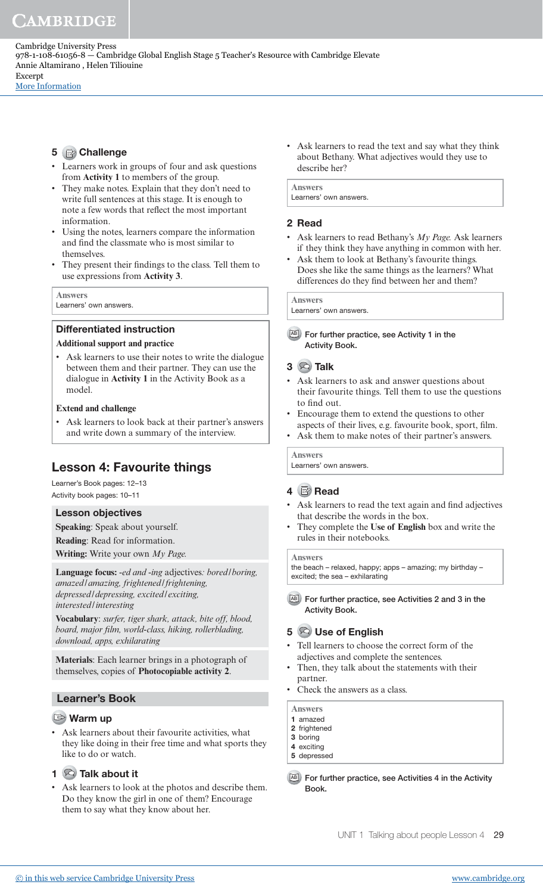[More Information](www.cambridge.org/9781108610568)

### 5 B Challenge

- Learners work in groups of four and ask questions from **Activity 1** to members of the group.
- They make notes. Explain that they don't need to write full sentences at this stage. It is enough to note a few words that reflect the most important information.
- Using the notes, learners compare the information and find the classmate who is most similar to themselves.
- They present their findings to the class. Tell them to use expressions from **Activity 3**.

**Answers**  Learners' own answers.

### Differentiated instruction

### **Additional support and practice**

Ask learners to use their notes to write the dialogue between them and their partner. They can use the dialogue in **Activity 1** in the Activity Book as a model.

### **Extend and challenge**

Ask learners to look back at their partner's answers and write down a summary of the interview.

## Lesson 4: Favourite things

Learner's Book pages: 12–13 Activity book pages: 10–11

### Lesson objectives

**Speaking**: Speak about yourself.

**Reading**: Read for information.

**Writing:** Write your own *My Page.*

**Language focus:** *-ed and -ing* adjectives*: bored / boring, amazed / amazing, frightened / frightening, depressed / depressing, excited / exciting, interested / interesting*

**Vocabulary**: *surfer, tiger shark, attack, bite off, blood, board, major film, world-class, hiking, rollerblading, download, apps, exhilarating*

**Materials**: Each learner brings in a photograph of themselves, copies of **Photocopiable activity 2**.

### Learner's Book

### Warm up

• Ask learners about their favourite activities, what they like doing in their free time and what sports they like to do or watch.

### 1  $\heartsuit$  Talk about it

• Ask learners to look at the photos and describe them. Do they know the girl in one of them? Encourage them to say what they know about her.

• Ask learners to read the text and say what they think about Bethany. What adjectives would they use to describe her?

**Answers** 

Learners' own answers.

### 2 Read

- Ask learners to read Bethany's *My Page.* Ask learners if they think they have anything in common with her.
- Ask them to look at Bethany's favourite things. Does she like the same things as the learners? What differences do they find between her and them?

### **Answers**

Learners' own answers.

AB For further practice, see Activity 1 in the Activity Book.

### 3 Talk

- Ask learners to ask and answer questions about their favourite things. Tell them to use the questions to find out.
- Encourage them to extend the questions to other aspects of their lives, e.g. favourite book, sport, film.
- Ask them to make notes of their partner's answers.

**Answers**  Learners' own answers.

### 4 图 Read

- Ask learners to read the text again and find adjectives that describe the words in the box.
- They complete the **Use of English** box and write the rules in their notebooks.

#### **Answers**

the beach – relaxed, happy; apps – amazing; my birthday – excited; the sea – exhilarating

AB For further practice, see Activities 2 and 3 in the Activity Book.

### 5 **Q** Use of English

- Tell learners to choose the correct form of the adjectives and complete the sentences.
- Then, they talk about the statements with their partner.
- Check the answers as a class.
- **Answers**
- 1 amazed
- 2 frightened
- 3 boring
- 4 exciting
- 5 depressed

### AB For further practice, see Activities 4 in the Activity Book.